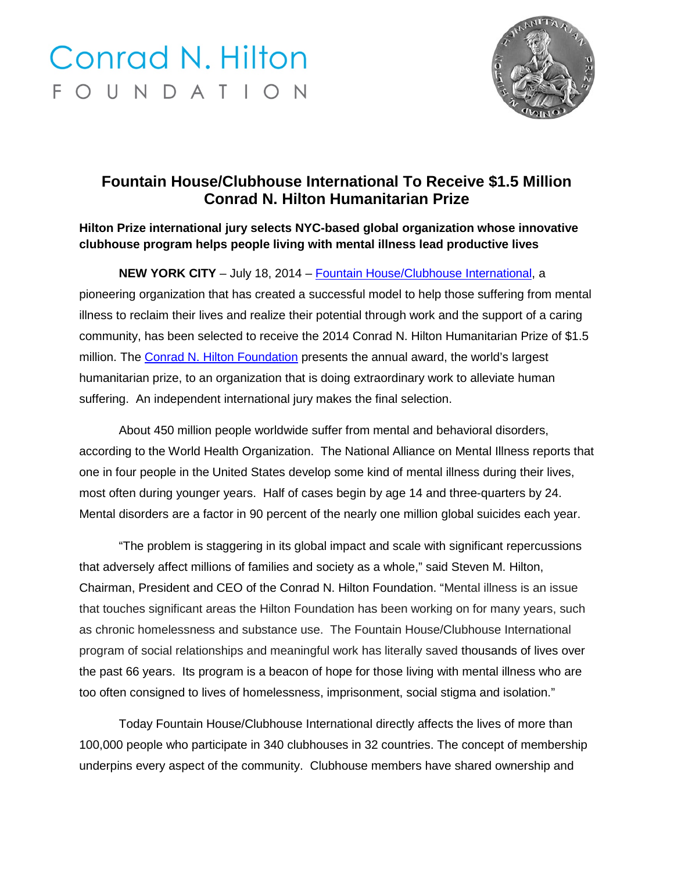## **Conrad N. Hilton** FOUNDATION



## **Fountain House/Clubhouse International To Receive \$1.5 Million Conrad N. Hilton Humanitarian Prize**

## **Hilton Prize international jury selects NYC-based global organization whose innovative clubhouse program helps people living with mental illness lead productive lives**

**NEW YORK CITY** – July 18, 2014 – [Fountain House/Clubhouse International,](http://www.fountainhouse.org/) a pioneering organization that has created a successful model to help those suffering from mental illness to reclaim their lives and realize their potential through work and the support of a caring community, has been selected to receive the 2014 Conrad N. Hilton Humanitarian Prize of \$1.5 million. The [Conrad N. Hilton Foundation](http://www.hiltonfoundation.org/) presents the annual award, the world's largest humanitarian prize, to an organization that is doing extraordinary work to alleviate human suffering. An independent international jury makes the final selection.

About 450 million people worldwide suffer from mental and behavioral disorders, according to the World Health Organization. The National Alliance on Mental Illness reports that one in four people in the United States develop some kind of mental illness during their lives, most often during younger years. Half of cases begin by age 14 and three-quarters by 24. Mental disorders are a factor in 90 percent of the nearly one million global suicides each year.

"The problem is staggering in its global impact and scale with significant repercussions that adversely affect millions of families and society as a whole," said Steven M. Hilton, Chairman, President and CEO of the Conrad N. Hilton Foundation. "Mental illness is an issue that touches significant areas the Hilton Foundation has been working on for many years, such as chronic homelessness and substance use. The Fountain House/Clubhouse International program of social relationships and meaningful work has literally saved thousands of lives over the past 66 years. Its program is a beacon of hope for those living with mental illness who are too often consigned to lives of homelessness, imprisonment, social stigma and isolation."

Today Fountain House/Clubhouse International directly affects the lives of more than 100,000 people who participate in 340 clubhouses in 32 countries. The concept of membership underpins every aspect of the community. Clubhouse members have shared ownership and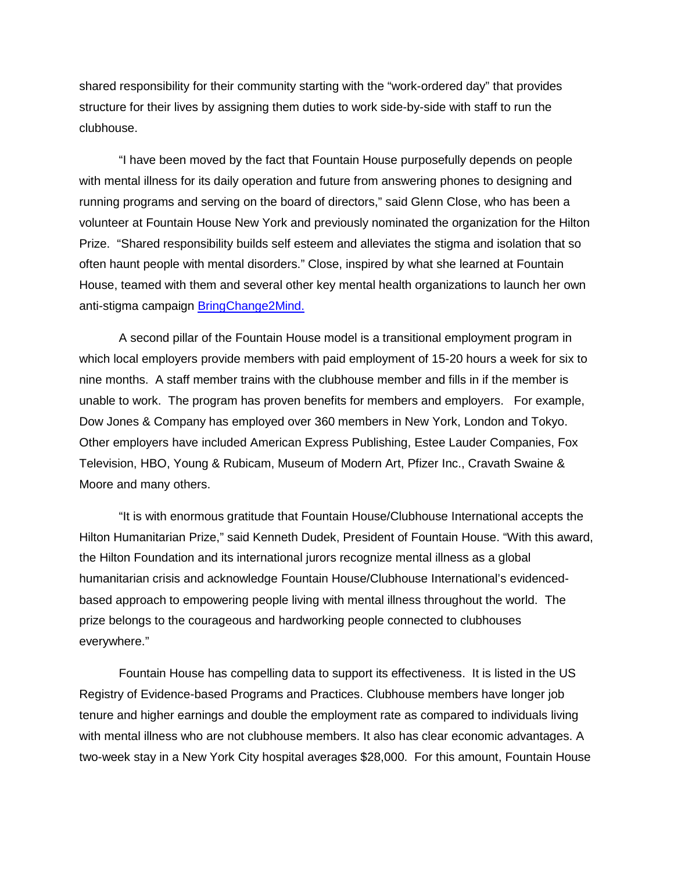shared responsibility for their community starting with the "work-ordered day" that provides structure for their lives by assigning them duties to work side-by-side with staff to run the clubhouse.

"I have been moved by the fact that Fountain House purposefully depends on people with mental illness for its daily operation and future from answering phones to designing and running programs and serving on the board of directors," said Glenn Close, who has been a volunteer at Fountain House New York and previously nominated the organization for the Hilton Prize. "Shared responsibility builds self esteem and alleviates the stigma and isolation that so often haunt people with mental disorders." Close, inspired by what she learned at Fountain House, teamed with them and several other key mental health organizations to launch her own anti-stigma campaign [BringChange2Mind.](http://www.bringchange2mind.org/)

A second pillar of the Fountain House model is a transitional employment program in which local employers provide members with paid employment of 15-20 hours a week for six to nine months. A staff member trains with the clubhouse member and fills in if the member is unable to work. The program has proven benefits for members and employers. For example, Dow Jones & Company has employed over 360 members in New York, London and Tokyo. Other employers have included American Express Publishing, Estee Lauder Companies, Fox Television, HBO, Young & Rubicam, Museum of Modern Art, Pfizer Inc., Cravath Swaine & Moore and many others.

"It is with enormous gratitude that Fountain House/Clubhouse International accepts the Hilton Humanitarian Prize," said Kenneth Dudek, President of Fountain House. "With this award, the Hilton Foundation and its international jurors recognize mental illness as a global humanitarian crisis and acknowledge Fountain House/Clubhouse International's evidencedbased approach to empowering people living with mental illness throughout the world. The prize belongs to the courageous and hardworking people connected to clubhouses everywhere."

Fountain House has compelling data to support its effectiveness. It is listed in the US Registry of Evidence-based Programs and Practices. Clubhouse members have longer job tenure and higher earnings and double the employment rate as compared to individuals living with mental illness who are not clubhouse members. It also has clear economic advantages. A two-week stay in a New York City hospital averages \$28,000. For this amount, Fountain House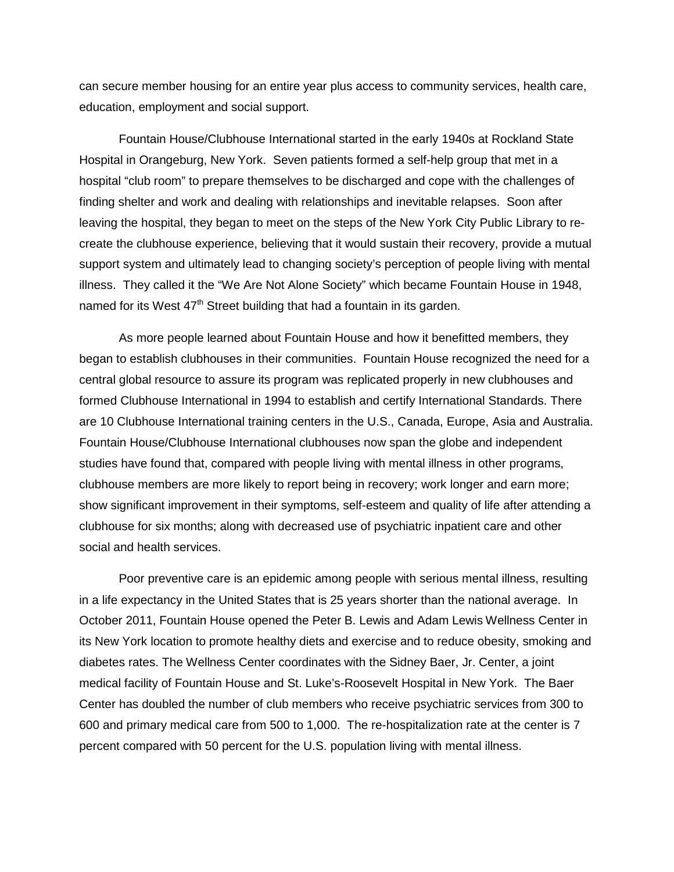can secure member housing for an entire year plus access to community services, health care, education, employment and social support.

Fountain House/Clubhouse International started in the early 1940s at Rockland State Hospital in Orangeburg, New York. Seven patients formed a self-help group that met in a hospital "club room" to prepare themselves to be discharged and cope with the challenges of finding shelter and work and dealing with relationships and inevitable relapses. Soon after leaving the hospital, they began to meet on the steps of the New York City Public Library to recreate the clubhouse experience, believing that it would sustain their recovery, provide a mutual support system and ultimately lead to changing society's perception of people living with mental illness. They called it the "We Are Not Alone Society" which became Fountain House in 1948, named for its West  $47<sup>th</sup>$  Street building that had a fountain in its garden.

As more people learned about Fountain House and how it benefitted members, they began to establish clubhouses in their communities. Fountain House recognized the need for a central global resource to assure its program was replicated properly in new clubhouses and formed Clubhouse International in 1994 to establish and certify International Standards. There are 10 Clubhouse International training centers in the U.S., Canada, Europe, Asia and Australia. Fountain House/Clubhouse International clubhouses now span the globe and independent studies have found that, compared with people living with mental illness in other programs, clubhouse members are more likely to report being in recovery; work longer and earn more; show significant improvement in their symptoms, self-esteem and quality of life after attending a clubhouse for six months; along with decreased use of psychiatric inpatient care and other social and health services.

Poor preventive care is an epidemic among people with serious mental illness, resulting in a life expectancy in the United States that is 25 years shorter than the national average. In October 2011, Fountain House opened the Peter B. Lewis and Adam Lewis Wellness Center in its New York location to promote healthy diets and exercise and to reduce obesity, smoking and diabetes rates. The Wellness Center coordinates with the Sidney Baer, Jr. Center, a joint medical facility of Fountain House and St. Luke's-Roosevelt Hospital in New York. The Baer Center has doubled the number of club members who receive psychiatric services from 300 to 600 and primary medical care from 500 to 1,000. The re-hospitalization rate at the center is 7 percent compared with 50 percent for the U.S. population living with mental illness.